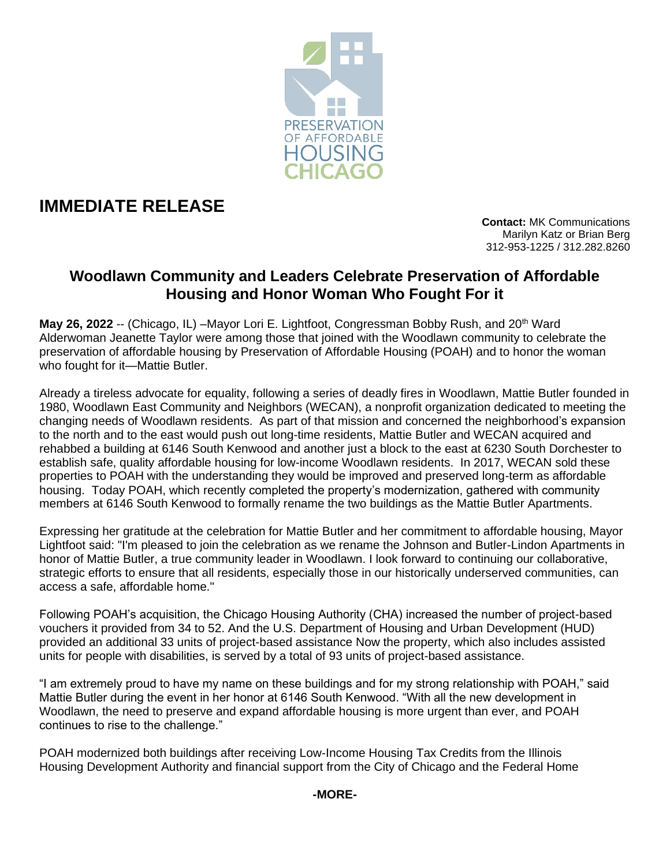

# **IMMEDIATE RELEASE**

**Contact:** MK Communications Marilyn Katz or Brian Berg 312-953-1225 / 312.282.8260

# **Woodlawn Community and Leaders Celebrate Preservation of Affordable Housing and Honor Woman Who Fought For it**

May 26, 2022 -- (Chicago, IL) –Mayor Lori E. Lightfoot, Congressman Bobby Rush, and 20<sup>th</sup> Ward Alderwoman Jeanette Taylor were among those that joined with the Woodlawn community to celebrate the preservation of affordable housing by Preservation of Affordable Housing (POAH) and to honor the woman who fought for it—Mattie Butler.

Already a tireless advocate for equality, following a series of deadly fires in Woodlawn, Mattie Butler founded in 1980, Woodlawn East Community and Neighbors (WECAN), a nonprofit organization dedicated to meeting the changing needs of Woodlawn residents. As part of that mission and concerned the neighborhood's expansion to the north and to the east would push out long-time residents, Mattie Butler and WECAN acquired and rehabbed a building at 6146 South Kenwood and another just a block to the east at 6230 South Dorchester to establish safe, quality affordable housing for low-income Woodlawn residents. In 2017, WECAN sold these properties to POAH with the understanding they would be improved and preserved long-term as affordable housing. Today POAH, which recently completed the property's modernization, gathered with community members at 6146 South Kenwood to formally rename the two buildings as the Mattie Butler Apartments.

Expressing her gratitude at the celebration for Mattie Butler and her commitment to affordable housing, Mayor Lightfoot said: "I'm pleased to join the celebration as we rename the Johnson and Butler-Lindon Apartments in honor of Mattie Butler, a true community leader in Woodlawn. I look forward to continuing our collaborative, strategic efforts to ensure that all residents, especially those in our historically underserved communities, can access a safe, affordable home."

Following POAH's acquisition, the Chicago Housing Authority (CHA) increased the number of project-based vouchers it provided from 34 to 52. And the U.S. Department of Housing and Urban Development (HUD) provided an additional 33 units of project-based assistance Now the property, which also includes assisted units for people with disabilities, is served by a total of 93 units of project-based assistance.

"I am extremely proud to have my name on these buildings and for my strong relationship with POAH," said Mattie Butler during the event in her honor at 6146 South Kenwood. "With all the new development in Woodlawn, the need to preserve and expand affordable housing is more urgent than ever, and POAH continues to rise to the challenge."

POAH modernized both buildings after receiving Low-Income Housing Tax Credits from the Illinois Housing Development Authority and financial support from the City of Chicago and the Federal Home